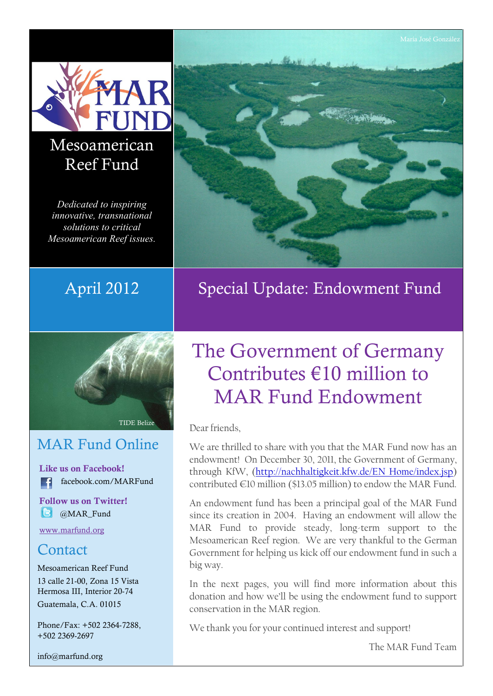

## Mesoamerican Reef Fund

Dedicated to inspiring innovative, transnational solutions to critical Mesoamerican Reef issues.



## MAR Fund Online

**Like us on Facebook!** facebook.com/MARFund  $\vert$  f

**Follow us on Twitter! B** @MAR\_Fund

[www.marfund.org](http://www.marfund.org)

### **Contact**

Mesoamerican Reef Fund 13 calle 21-00, Zona 15 Vista Hermosa III, Interior 20-74 Guatemala, C.A. 01015

Phone/Fax: +502 2364-7288, +502 2369-2697

[info@marfund.org](mailto:info@marfund.org)



April 2012 Special Update: Endowment Fund

# The Government of Germany Contributes  $f(10)$  million to MAR Fund Endowment

Dear friends,

We are thrilled to share with you that the MAR Fund now has an endowment! On December 30, 2011, the Government of Germany, through KfW, (http://nachhaltigkeit.kfw.de/EN\_Home/index.jsp) contributed  $\in$  10 million (\$13.05 million) to endow the MAR Fund.

An endowment fund has been a principal goal of the MAR Fund since its creation in 2004. Having an endowment will allow the MAR Fund to provide steady, long-term support to the Mesoamerican Reef region. We are very thankful to the German Government for helping us kick off our endowment fund in such a big way.

In the next pages, you will find more information about this donation and how we'll be using the endowment fund to support conservation in the MAR region.

We thank you for your continued interest and support!

The MAR Fund Team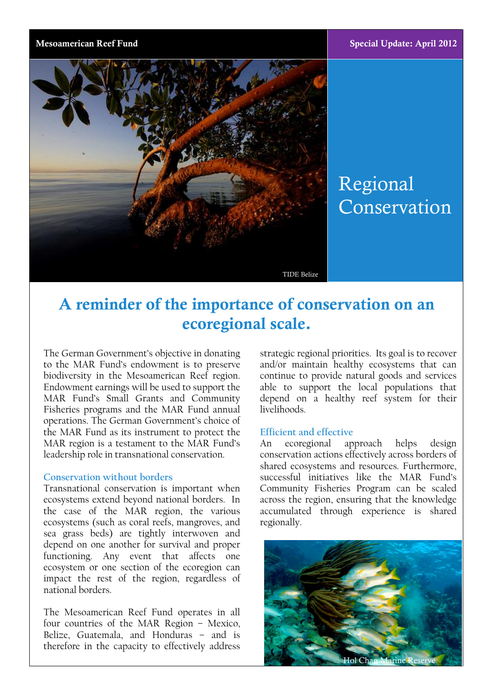

# Regional Conservation

TIDE Belize

## **A reminder of the importance of conservation on an ecoregional scale.**

The German Government's objective in donating to the MAR Fund's endowment is to preserve biodiversity in the Mesoamerican Reef region. Endowment earnings will be used to support the MAR Fund's Small Grants and Community Fisheries programs and the MAR Fund annual operations. The German Government's choice of the MAR Fund as its instrument to protect the MAR region is a testament to the MAR Fund's An leadership role in transnational conservation.

### **Conservation without borders**

Transnational conservation is important when ecosystems extend beyond national borders. In the case of the MAR region, the various ecosystems (such as coral reefs, mangroves, and sea grass beds) are tightly interwoven and depend on one another for survival and proper functioning. Any event that affects one ecosystem or one section of the ecoregion can impact the rest of the region, regardless of national borders.

The Mesoamerican Reef Fund operates in all four countries of the MAR Region  $-$  Mexico, Belize, Guatemala, and Honduras - and is therefore in the capacity to effectively address

strategic regional priorities. Its goal is to recover and/or maintain healthy ecosystems that can continue to provide natural goods and services able to support the local populations that depend on a healthy reef system for their livelihoods.

### **Efficient and effective**

ecoregional approach helps design conservation actions effectively across borders of shared ecosystems and resources. Furthermore, successful initiatives like the MAR Fund's Community Fisheries Program can be scaled across the region, ensuring that the knowledge accumulated through experience is shared regionally.